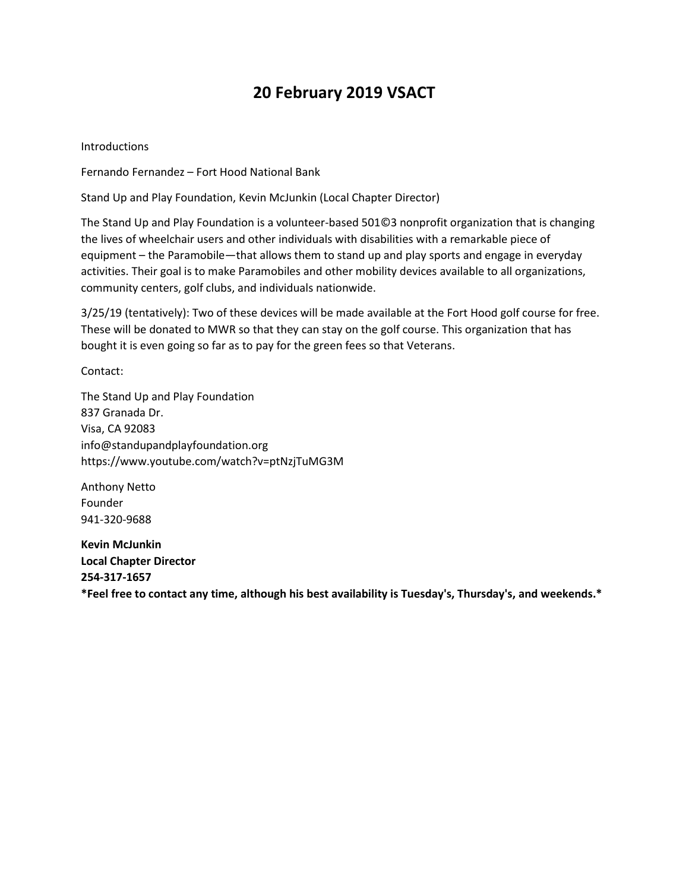## **20 February 2019 VSACT**

Introductions

Fernando Fernandez – Fort Hood National Bank

Stand Up and Play Foundation, Kevin McJunkin (Local Chapter Director)

The Stand Up and Play Foundation is a volunteer-based 501©3 nonprofit organization that is changing the lives of wheelchair users and other individuals with disabilities with a remarkable piece of equipment – the Paramobile—that allows them to stand up and play sports and engage in everyday activities. Their goal is to make Paramobiles and other mobility devices available to all organizations, community centers, golf clubs, and individuals nationwide.

3/25/19 (tentatively): Two of these devices will be made available at the Fort Hood golf course for free. These will be donated to MWR so that they can stay on the golf course. This organization that has bought it is even going so far as to pay for the green fees so that Veterans.

Contact:

The Stand Up and Play Foundation 837 Granada Dr. Visa, CA 92083 info@standupandplayfoundation.org https://www.youtube.com/watch?v=ptNzjTuMG3M

Anthony Netto Founder 941-320-9688

**Kevin McJunkin Local Chapter Director 254-317-1657 \*Feel free to contact any time, although his best availability is Tuesday's, Thursday's, and weekends.\***